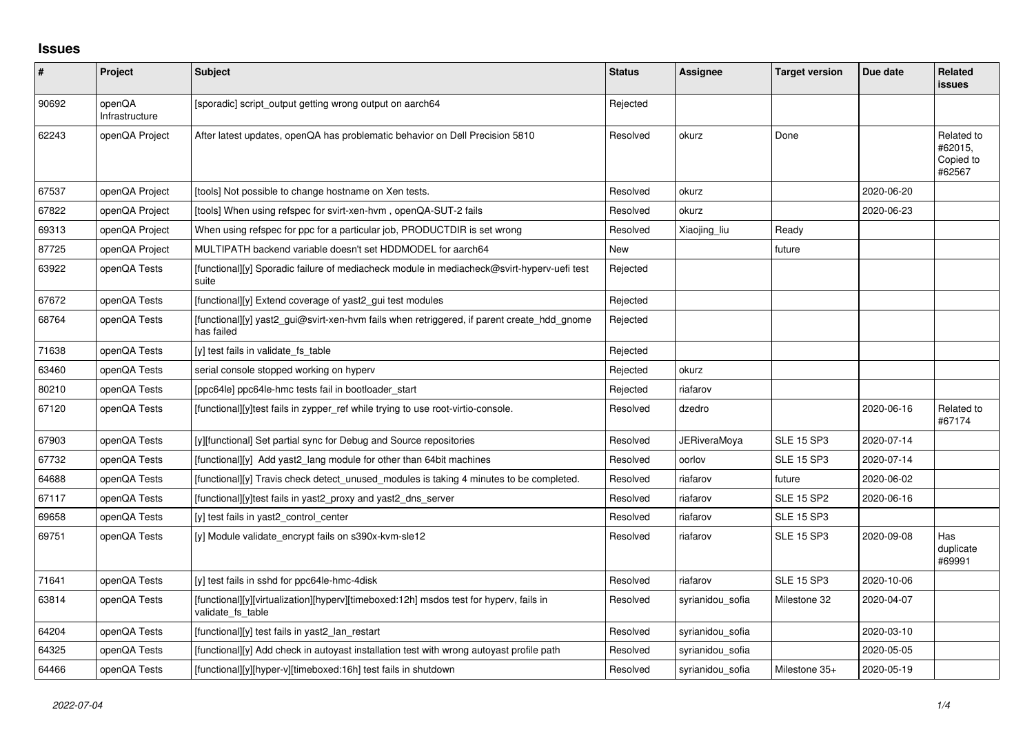## **Issues**

| $\pmb{\#}$ | Project                  | Subject                                                                                                     | <b>Status</b> | Assignee            | <b>Target version</b> | Due date   | <b>Related</b><br><b>issues</b>              |
|------------|--------------------------|-------------------------------------------------------------------------------------------------------------|---------------|---------------------|-----------------------|------------|----------------------------------------------|
| 90692      | openQA<br>Infrastructure | [sporadic] script_output getting wrong output on aarch64                                                    | Rejected      |                     |                       |            |                                              |
| 62243      | openQA Project           | After latest updates, openQA has problematic behavior on Dell Precision 5810                                | Resolved      | okurz               | Done                  |            | Related to<br>#62015,<br>Copied to<br>#62567 |
| 67537      | openQA Project           | [tools] Not possible to change hostname on Xen tests.                                                       | Resolved      | okurz               |                       | 2020-06-20 |                                              |
| 67822      | openQA Project           | [tools] When using refspec for svirt-xen-hvm, openQA-SUT-2 fails                                            | Resolved      | okurz               |                       | 2020-06-23 |                                              |
| 69313      | openQA Project           | When using refspec for ppc for a particular job, PRODUCTDIR is set wrong                                    | Resolved      | Xiaojing_liu        | Ready                 |            |                                              |
| 87725      | openQA Project           | MULTIPATH backend variable doesn't set HDDMODEL for aarch64                                                 | New           |                     | future                |            |                                              |
| 63922      | openQA Tests             | [functional][y] Sporadic failure of mediacheck module in mediacheck@svirt-hyperv-uefi test<br>suite         | Rejected      |                     |                       |            |                                              |
| 67672      | openQA Tests             | [functional][y] Extend coverage of yast2_gui test modules                                                   | Rejected      |                     |                       |            |                                              |
| 68764      | openQA Tests             | [functional][y] yast2 gui@svirt-xen-hvm fails when retriggered, if parent create hdd gnome<br>has failed    | Rejected      |                     |                       |            |                                              |
| 71638      | openQA Tests             | [y] test fails in validate fs table                                                                         | Rejected      |                     |                       |            |                                              |
| 63460      | openQA Tests             | serial console stopped working on hyperv                                                                    | Rejected      | okurz               |                       |            |                                              |
| 80210      | openQA Tests             | [ppc64le] ppc64le-hmc tests fail in bootloader_start                                                        | Rejected      | riafarov            |                       |            |                                              |
| 67120      | openQA Tests             | [functional][y]test fails in zypper_ref while trying to use root-virtio-console.                            | Resolved      | dzedro              |                       | 2020-06-16 | Related to<br>#67174                         |
| 67903      | openQA Tests             | [y][functional] Set partial sync for Debug and Source repositories                                          | Resolved      | <b>JERiveraMoya</b> | <b>SLE 15 SP3</b>     | 2020-07-14 |                                              |
| 67732      | openQA Tests             | [functional][y] Add yast2 lang module for other than 64bit machines                                         | Resolved      | oorlov              | <b>SLE 15 SP3</b>     | 2020-07-14 |                                              |
| 64688      | openQA Tests             | [functional][y] Travis check detect unused modules is taking 4 minutes to be completed.                     | Resolved      | riafarov            | future                | 2020-06-02 |                                              |
| 67117      | openQA Tests             | [functional][y]test fails in yast2 proxy and yast2 dns server                                               | Resolved      | riafarov            | <b>SLE 15 SP2</b>     | 2020-06-16 |                                              |
| 69658      | openQA Tests             | [y] test fails in yast2_control_center                                                                      | Resolved      | riafarov            | <b>SLE 15 SP3</b>     |            |                                              |
| 69751      | openQA Tests             | [y] Module validate encrypt fails on s390x-kvm-sle12                                                        | Resolved      | riafarov            | <b>SLE 15 SP3</b>     | 2020-09-08 | Has<br>duplicate<br>#69991                   |
| 71641      | openQA Tests             | [y] test fails in sshd for ppc64le-hmc-4disk                                                                | Resolved      | riafarov            | <b>SLE 15 SP3</b>     | 2020-10-06 |                                              |
| 63814      | openQA Tests             | [functional][y][virtualization][hyperv][timeboxed:12h] msdos test for hyperv, fails in<br>validate fs table | Resolved      | syrianidou_sofia    | Milestone 32          | 2020-04-07 |                                              |
| 64204      | openQA Tests             | [functional][y] test fails in yast2_lan_restart                                                             | Resolved      | syrianidou_sofia    |                       | 2020-03-10 |                                              |
| 64325      | openQA Tests             | [functional][y] Add check in autoyast installation test with wrong autoyast profile path                    | Resolved      | syrianidou_sofia    |                       | 2020-05-05 |                                              |
| 64466      | openQA Tests             | [functional][y][hyper-v][timeboxed:16h] test fails in shutdown                                              | Resolved      | syrianidou sofia    | Milestone 35+         | 2020-05-19 |                                              |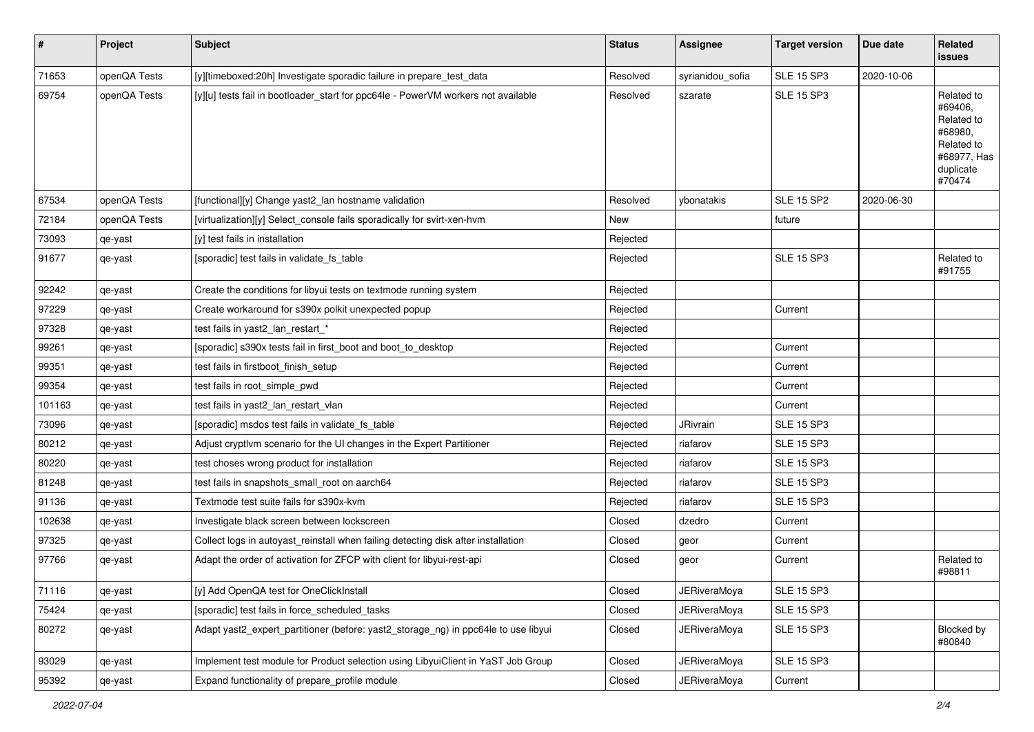| $\sharp$ | Project      | Subject                                                                            | <b>Status</b> | Assignee            | <b>Target version</b> | Due date   | Related<br>issues                                                                                  |
|----------|--------------|------------------------------------------------------------------------------------|---------------|---------------------|-----------------------|------------|----------------------------------------------------------------------------------------------------|
| 71653    | openQA Tests | [y][timeboxed:20h] Investigate sporadic failure in prepare_test_data               | Resolved      | syrianidou_sofia    | <b>SLE 15 SP3</b>     | 2020-10-06 |                                                                                                    |
| 69754    | openQA Tests | [y][u] tests fail in bootloader_start for ppc64le - PowerVM workers not available  | Resolved      | szarate             | <b>SLE 15 SP3</b>     |            | Related to<br>#69406,<br>Related to<br>#68980,<br>Related to<br>#68977, Has<br>duplicate<br>#70474 |
| 67534    | openQA Tests | [functional][y] Change yast2_lan hostname validation                               | Resolved      | ybonatakis          | <b>SLE 15 SP2</b>     | 2020-06-30 |                                                                                                    |
| 72184    | openQA Tests | [virtualization][y] Select_console fails sporadically for svirt-xen-hvm            | New           |                     | future                |            |                                                                                                    |
| 73093    | qe-yast      | [y] test fails in installation                                                     | Rejected      |                     |                       |            |                                                                                                    |
| 91677    | qe-yast      | [sporadic] test fails in validate_fs_table                                         | Rejected      |                     | <b>SLE 15 SP3</b>     |            | Related to<br>#91755                                                                               |
| 92242    | qe-yast      | Create the conditions for libyui tests on textmode running system                  | Rejected      |                     |                       |            |                                                                                                    |
| 97229    | qe-yast      | Create workaround for s390x polkit unexpected popup                                | Rejected      |                     | Current               |            |                                                                                                    |
| 97328    | qe-yast      | test fails in yast2_lan_restart_*                                                  | Rejected      |                     |                       |            |                                                                                                    |
| 99261    | qe-yast      | [sporadic] s390x tests fail in first_boot and boot_to_desktop                      | Rejected      |                     | Current               |            |                                                                                                    |
| 99351    | qe-yast      | test fails in firstboot_finish_setup                                               | Rejected      |                     | Current               |            |                                                                                                    |
| 99354    | qe-yast      | test fails in root_simple_pwd                                                      | Rejected      |                     | Current               |            |                                                                                                    |
| 101163   | qe-yast      | test fails in yast2_lan_restart_vlan                                               | Rejected      |                     | Current               |            |                                                                                                    |
| 73096    | qe-yast      | [sporadic] msdos test fails in validate_fs_table                                   | Rejected      | JRivrain            | <b>SLE 15 SP3</b>     |            |                                                                                                    |
| 80212    | qe-yast      | Adjust cryptlvm scenario for the UI changes in the Expert Partitioner              | Rejected      | riafarov            | <b>SLE 15 SP3</b>     |            |                                                                                                    |
| 80220    | qe-yast      | test choses wrong product for installation                                         | Rejected      | riafarov            | <b>SLE 15 SP3</b>     |            |                                                                                                    |
| 81248    | qe-yast      | test fails in snapshots_small_root on aarch64                                      | Rejected      | riafarov            | <b>SLE 15 SP3</b>     |            |                                                                                                    |
| 91136    | qe-yast      | Textmode test suite fails for s390x-kvm                                            | Rejected      | riafarov            | <b>SLE 15 SP3</b>     |            |                                                                                                    |
| 102638   | qe-yast      | Investigate black screen between lockscreen                                        | Closed        | dzedro              | Current               |            |                                                                                                    |
| 97325    | qe-yast      | Collect logs in autoyast_reinstall when failing detecting disk after installation  | Closed        | geor                | Current               |            |                                                                                                    |
| 97766    | qe-yast      | Adapt the order of activation for ZFCP with client for libyui-rest-api             | Closed        | geor                | Current               |            | Related to<br>#98811                                                                               |
| 71116    | qe-yast      | [y] Add OpenQA test for OneClickInstall                                            | Closed        | JERiveraMoya        | <b>SLE 15 SP3</b>     |            |                                                                                                    |
| 75424    | qe-yast      | [sporadic] test fails in force_scheduled_tasks                                     | Closed        | <b>JERiveraMoya</b> | <b>SLE 15 SP3</b>     |            |                                                                                                    |
| 80272    | qe-yast      | Adapt yast2_expert_partitioner (before: yast2_storage_ng) in ppc64le to use libyui | Closed        | <b>JERiveraMoya</b> | <b>SLE 15 SP3</b>     |            | Blocked by<br>#80840                                                                               |
| 93029    | qe-yast      | Implement test module for Product selection using LibyuiClient in YaST Job Group   | Closed        | <b>JERiveraMoya</b> | <b>SLE 15 SP3</b>     |            |                                                                                                    |
| 95392    | qe-yast      | Expand functionality of prepare_profile module                                     | Closed        | <b>JERiveraMoya</b> | Current               |            |                                                                                                    |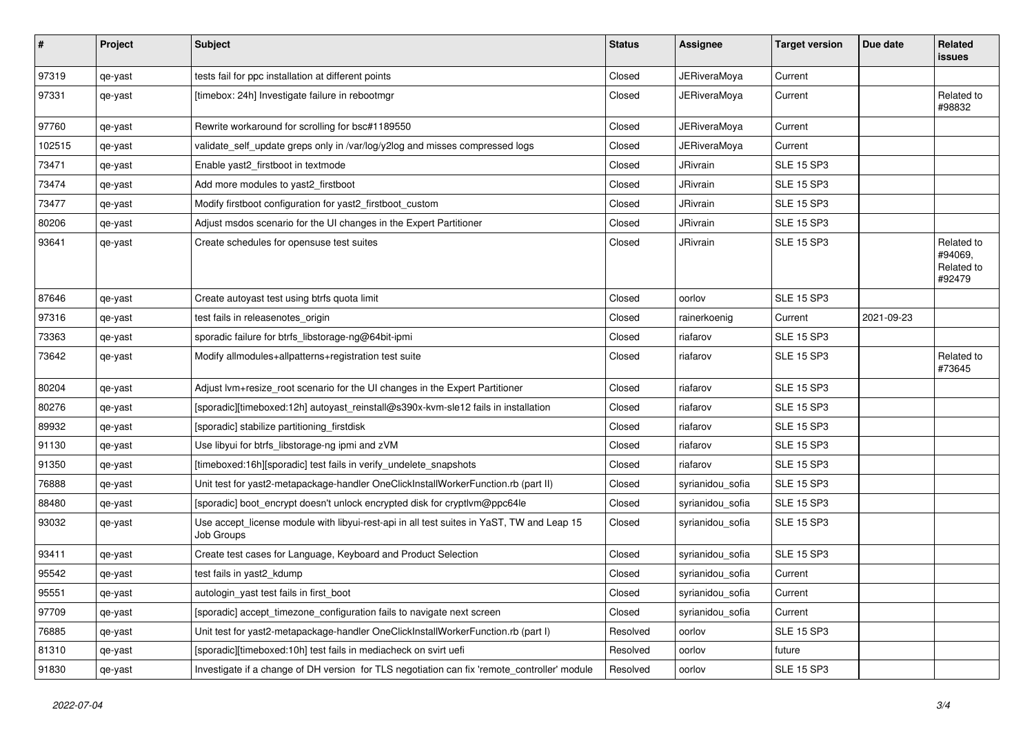| $\sharp$ | Project | <b>Subject</b>                                                                                          | <b>Status</b> | Assignee            | <b>Target version</b> | Due date   | Related<br>issues                             |
|----------|---------|---------------------------------------------------------------------------------------------------------|---------------|---------------------|-----------------------|------------|-----------------------------------------------|
| 97319    | qe-yast | tests fail for ppc installation at different points                                                     | Closed        | <b>JERiveraMoya</b> | Current               |            |                                               |
| 97331    | qe-yast | [timebox: 24h] Investigate failure in rebootmgr                                                         | Closed        | <b>JERiveraMoya</b> | Current               |            | Related to<br>#98832                          |
| 97760    | qe-yast | Rewrite workaround for scrolling for bsc#1189550                                                        | Closed        | <b>JERiveraMoya</b> | Current               |            |                                               |
| 102515   | qe-yast | validate_self_update greps only in /var/log/y2log and misses compressed logs                            | Closed        | <b>JERiveraMoya</b> | Current               |            |                                               |
| 73471    | qe-yast | Enable yast2 firstboot in textmode                                                                      | Closed        | JRivrain            | <b>SLE 15 SP3</b>     |            |                                               |
| 73474    | qe-yast | Add more modules to yast2 firstboot                                                                     | Closed        | JRivrain            | <b>SLE 15 SP3</b>     |            |                                               |
| 73477    | qe-yast | Modify firstboot configuration for yast2_firstboot_custom                                               | Closed        | JRivrain            | <b>SLE 15 SP3</b>     |            |                                               |
| 80206    | qe-yast | Adjust msdos scenario for the UI changes in the Expert Partitioner                                      | Closed        | JRivrain            | <b>SLE 15 SP3</b>     |            |                                               |
| 93641    | qe-yast | Create schedules for opensuse test suites                                                               | Closed        | JRivrain            | <b>SLE 15 SP3</b>     |            | Related to<br>#94069,<br>Related to<br>#92479 |
| 87646    | qe-yast | Create autoyast test using btrfs quota limit                                                            | Closed        | oorlov              | <b>SLE 15 SP3</b>     |            |                                               |
| 97316    | qe-yast | test fails in releasenotes_origin                                                                       | Closed        | rainerkoenig        | Current               | 2021-09-23 |                                               |
| 73363    | qe-yast | sporadic failure for btrfs_libstorage-ng@64bit-ipmi                                                     | Closed        | riafarov            | <b>SLE 15 SP3</b>     |            |                                               |
| 73642    | qe-yast | Modify allmodules+allpatterns+registration test suite                                                   | Closed        | riafarov            | <b>SLE 15 SP3</b>     |            | Related to<br>#73645                          |
| 80204    | qe-yast | Adjust lvm+resize_root scenario for the UI changes in the Expert Partitioner                            | Closed        | riafarov            | <b>SLE 15 SP3</b>     |            |                                               |
| 80276    | qe-yast | [sporadic][timeboxed:12h] autoyast_reinstall@s390x-kvm-sle12 fails in installation                      | Closed        | riafarov            | <b>SLE 15 SP3</b>     |            |                                               |
| 89932    | qe-yast | [sporadic] stabilize partitioning_firstdisk                                                             | Closed        | riafarov            | <b>SLE 15 SP3</b>     |            |                                               |
| 91130    | qe-yast | Use libyui for btrfs_libstorage-ng ipmi and zVM                                                         | Closed        | riafarov            | <b>SLE 15 SP3</b>     |            |                                               |
| 91350    | qe-yast | [timeboxed:16h][sporadic] test fails in verify_undelete_snapshots                                       | Closed        | riafarov            | <b>SLE 15 SP3</b>     |            |                                               |
| 76888    | qe-yast | Unit test for yast2-metapackage-handler OneClickInstallWorkerFunction.rb (part II)                      | Closed        | syrianidou_sofia    | <b>SLE 15 SP3</b>     |            |                                               |
| 88480    | qe-yast | [sporadic] boot_encrypt doesn't unlock encrypted disk for cryptlvm@ppc64le                              | Closed        | syrianidou_sofia    | <b>SLE 15 SP3</b>     |            |                                               |
| 93032    | qe-yast | Use accept_license module with libyui-rest-api in all test suites in YaST, TW and Leap 15<br>Job Groups | Closed        | syrianidou_sofia    | <b>SLE 15 SP3</b>     |            |                                               |
| 93411    | qe-yast | Create test cases for Language, Keyboard and Product Selection                                          | Closed        | syrianidou_sofia    | <b>SLE 15 SP3</b>     |            |                                               |
| 95542    | qe-yast | test fails in yast2_kdump                                                                               | Closed        | syrianidou_sofia    | Current               |            |                                               |
| 95551    | qe-yast | autologin_yast test fails in first_boot                                                                 | Closed        | syrianidou_sofia    | Current               |            |                                               |
| 97709    | qe-yast | [sporadic] accept_timezone_configuration fails to navigate next screen                                  | Closed        | syrianidou_sofia    | Current               |            |                                               |
| 76885    | qe-yast | Unit test for yast2-metapackage-handler OneClickInstallWorkerFunction.rb (part I)                       | Resolved      | oorlov              | <b>SLE 15 SP3</b>     |            |                                               |
| 81310    | qe-yast | [sporadic][timeboxed:10h] test fails in mediacheck on svirt uefi                                        | Resolved      | oorlov              | future                |            |                                               |
| 91830    | qe-yast | Investigate if a change of DH version for TLS negotiation can fix 'remote_controller' module            | Resolved      | oorlov              | <b>SLE 15 SP3</b>     |            |                                               |